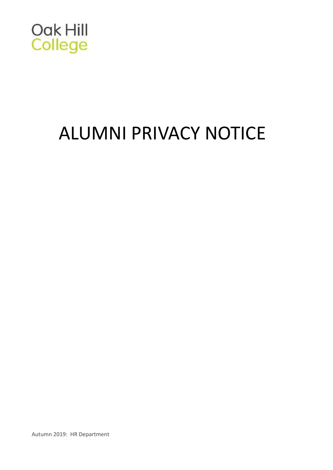

# ALUMNI PRIVACY NOTICE

Autumn 2019: HR Department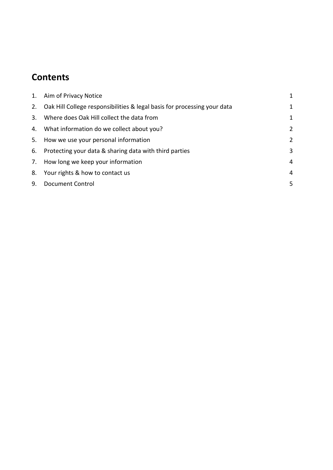# **Contents**

| 1. | Aim of Privacy Notice                                                       | 1              |
|----|-----------------------------------------------------------------------------|----------------|
|    | 2. Oak Hill College responsibilities & legal basis for processing your data | $\mathbf{1}$   |
| 3. | Where does Oak Hill collect the data from                                   | 1              |
|    | 4. What information do we collect about you?                                | $\overline{2}$ |
|    | 5. How we use your personal information                                     | $\overline{2}$ |
| 6. | Protecting your data & sharing data with third parties                      | 3              |
|    | 7. How long we keep your information                                        | $\overline{4}$ |
|    | 8. Your rights & how to contact us                                          | $\overline{4}$ |
| 9. | <b>Document Control</b>                                                     | 5              |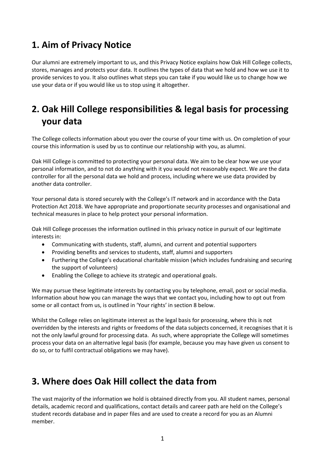## <span id="page-2-0"></span>**1. Aim of Privacy Notice**

Our alumni are extremely important to us, and this Privacy Notice explains how Oak Hill College collects, stores, manages and protects your data. It outlines the types of data that we hold and how we use it to provide services to you. It also outlines what steps you can take if you would like us to change how we use your data or if you would like us to stop using it altogether.

# <span id="page-2-1"></span>**2. Oak Hill College responsibilities & legal basis for processing your data**

The College collects information about you over the course of your time with us. On completion of your course this information is used by us to continue our relationship with you, as alumni.

Oak Hill College is committed to protecting your personal data. We aim to be clear how we use your personal information, and to not do anything with it you would not reasonably expect. We are the data controller for all the personal data we hold and process, including where we use data provided by another data controller.

Your personal data is stored securely with the College's IT network and in accordance with the Data Protection Act 2018. We have appropriate and proportionate security processes and organisational and technical measures in place to help protect your personal information.

Oak Hill College processes the information outlined in this privacy notice in pursuit of our legitimate interests in:

- Communicating with students, staff, alumni, and current and potential supporters
- Providing benefits and services to students, staff, alumni and supporters
- Furthering the College's educational charitable mission (which includes fundraising and securing the support of volunteers)
- Enabling the College to achieve its strategic and operational goals.

We may pursue these legitimate interests by contacting you by telephone, email, post or social media. Information about how you can manage the ways that we contact you, including how to opt out from some or all contact from us, is outlined in 'Your rights' in section 8 below.

Whilst the College relies on legitimate interest as the legal basis for processing, where this is not overridden by the interests and rights or freedoms of the data subjects concerned, it recognises that it is not the only lawful ground for processing data. As such, where appropriate the College will sometimes process your data on an alternative legal basis (for example, because you may have given us consent to do so, or to fulfil contractual obligations we may have).

## <span id="page-2-2"></span>**3. Where does Oak Hill collect the data from**

The vast majority of the information we hold is obtained directly from you. All student names, personal details, academic record and qualifications, contact details and career path are held on the College's student records database and in paper files and are used to create a record for you as an Alumni member.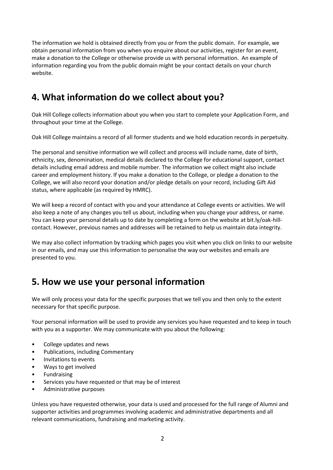The information we hold is obtained directly from you or from the public domain. For example, we obtain personal information from you when you enquire about our activities, register for an event, make a donation to the College or otherwise provide us with personal information. An example of information regarding you from the public domain might be your contact details on your church website.

# <span id="page-3-0"></span>**4. What information do we collect about you?**

Oak Hill College collects information about you when you start to complete your Application Form, and throughout your time at the College.

Oak Hill College maintains a record of all former students and we hold education records in perpetuity.

The personal and sensitive information we will collect and process will include name, date of birth, ethnicity, sex, denomination, medical details declared to the College for educational support, contact details including email address and mobile number. The information we collect might also include career and employment history. If you make a donation to the College, or pledge a donation to the College, we will also record your donation and/or pledge details on your record, including Gift Aid status, where applicable (as required by HMRC).

We will keep a record of contact with you and your attendance at College events or activities. We will also keep a note of any changes you tell us about, including when you change your address, or name. You can keep your personal details up to date by completing a form on the website at bit.ly/oak-hillcontact. However, previous names and addresses will be retained to help us maintain data integrity.

We may also collect information by tracking which pages you visit when you click on links to our website in our emails, and may use this information to personalise the way our websites and emails are presented to you.

#### <span id="page-3-1"></span>**5. How we use your personal information**

We will only process your data for the specific purposes that we tell you and then only to the extent necessary for that specific purpose.

Your personal information will be used to provide any services you have requested and to keep in touch with you as a supporter. We may communicate with you about the following:

- College updates and news
- Publications, including Commentary
- Invitations to events
- Ways to get involved
- **Fundraising**
- Services you have requested or that may be of interest
- Administrative purposes

Unless you have requested otherwise, your data is used and processed for the full range of Alumni and supporter activities and programmes involving academic and administrative departments and all relevant communications, fundraising and marketing activity.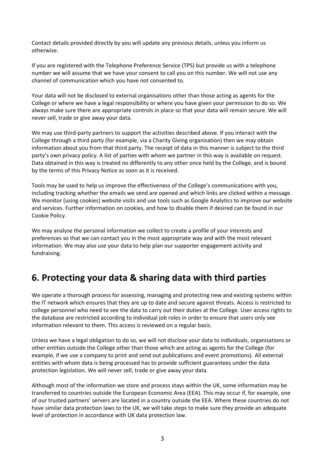Contact details provided directly by you will update any previous details, unless you inform us otherwise.

If you are registered with the Telephone Preference Service (TPS) but provide us with a telephone number we will assume that we have your consent to call you on this number. We will not use any channel of communication which you have not consented to.

Your data will not be disclosed to external organisations other than those acting as agents for the College or where we have a legal responsibility or where you have given your permission to do so. We always make sure there are appropriate controls in place so that your data will remain secure. We will never sell, trade or give away your data.

We may use third-party partners to support the activities described above. If you interact with the College through a third party (for example, via a Charity Giving organisation) then we may obtain information about you from that third party. The receipt of data in this manner is subject to the third party's own privacy policy. A list of parties with whom we partner in this way is available on request. Data obtained in this way is treated no differently to any other once held by the College, and is bound by the terms of this Privacy Notice as soon as it is received.

Tools may be used to help us improve the effectiveness of the College's communications with you, including tracking whether the emails we send are opened and which links are clicked within a message. We monitor (using cookies) website visits and use tools such as Google Analytics to improve our website and services. Further information on cookies, and how to disable them if desired can be found in our Cookie Policy.

We may analyse the personal information we collect to create a profile of your interests and preferences so that we can contact you in the most appropriate way and with the most relevant information. We may also use your data to help plan our supporter engagement activity and fundraising.

## <span id="page-4-0"></span>**6. Protecting your data & sharing data with third parties**

We operate a thorough process for assessing, managing and protecting new and existing systems within the IT network which ensures that they are up to date and secure against threats. Access is restricted to college personnel who need to see the data to carry out their duties at the College. User access rights to the database are restricted according to individual job roles in order to ensure that users only see information relevant to them. This access is reviewed on a regular basis.

Unless we have a legal obligation to do so, we will not disclose your data to individuals, organisations or other entities outside the College other than those which are acting as agents for the College (for example, if we use a company to print and send out publications and event promotions). All external entities with whom data is being processed has to provide sufficient guarantees under the data protection legislation. We will never sell, trade or give away your data.

Although most of the information we store and process stays within the UK, some information may be transferred to countries outside the European Economic Area (EEA). This may occur if, for example, one of our trusted partners' servers are located in a country outside the EEA. Where these countries do not have similar data protection laws to the UK, we will take steps to make sure they provide an adequate level of protection in accordance with UK data protection law.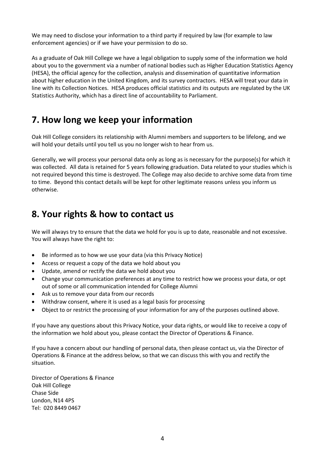We may need to disclose your information to a third party if required by law (for example to law enforcement agencies) or if we have your permission to do so.

As a graduate of Oak Hill College we have a legal obligation to supply some of the information we hold about you to the government via a number of national bodies such as Higher Education Statistics Agency (HESA), the official agency for the collection, analysis and dissemination of quantitative information about higher education in the United Kingdom, and its survey contractors. HESA will treat your data in line with its Collection Notices. HESA produces official statistics and its outputs are regulated by the UK Statistics Authority, which has a direct line of accountability to Parliament.

#### <span id="page-5-0"></span>**7. How long we keep your information**

Oak Hill College considers its relationship with Alumni members and supporters to be lifelong, and we will hold your details until you tell us you no longer wish to hear from us.

Generally, we will process your personal data only as long as is necessary for the purpose(s) for which it was collected. All data is retained for 5 years following graduation. Data related to your studies which is not required beyond this time is destroyed. The College may also decide to archive some data from time to time. Beyond this contact details will be kept for other legitimate reasons unless you inform us otherwise.

#### <span id="page-5-1"></span>**8. Your rights & how to contact us**

We will always try to ensure that the data we hold for you is up to date, reasonable and not excessive. You will always have the right to:

- Be informed as to how we use your data (via this Privacy Notice)
- Access or request a copy of the data we hold about you
- Update, amend or rectify the data we hold about you
- Change your communication preferences at any time to restrict how we process your data, or opt out of some or all communication intended for College Alumni
- Ask us to remove your data from our records
- Withdraw consent, where it is used as a legal basis for processing
- Object to or restrict the processing of your information for any of the purposes outlined above.

If you have any questions about this Privacy Notice, your data rights, or would like to receive a copy of the information we hold about you, please contact the Director of Operations & Finance.

If you have a concern about our handling of personal data, then please contact us, via the Director of Operations & Finance at the address below, so that we can discuss this with you and rectify the situation.

Director of Operations & Finance Oak Hill College Chase Side London, N14 4PS Tel: 020 8449 0467